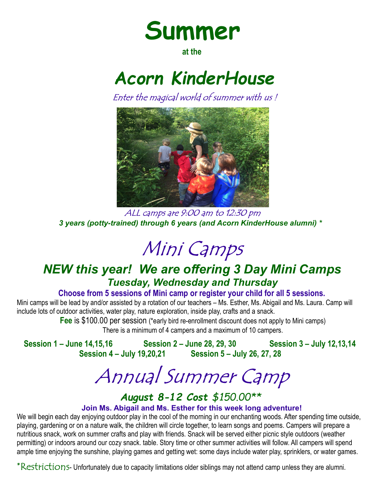

#### at the

# Acorn KinderHouse

Enter the magical world of summer with us !



ALL camps are 9:00 am to 12:30 pm 3 years (potty-trained) through 6 years (and Acorn KinderHouse alumni) \*

# Mini Camps

### NEW this year! We are offering 3 Day Mini Camps Tuesday, Wednesday and Thursday

#### Choose from 5 sessions of Mini camp or register your child for all 5 sessions.

Mini camps will be lead by and/or assisted by a rotation of our teachers – Ms. Esther, Ms. Abigail and Ms. Laura. Camp will include lots of outdoor activities, water play, nature exploration, inside play, crafts and a snack.

> **Fee is \$100.00 per session** (\*early bird re-enrollment discount does not apply to Mini camps) There is a minimum of 4 campers and a maximum of 10 campers.

Session 1 – June 14,15,16 Session 2 – June 28, 29, 30 Session 3 – July 12,13,14<br>Session 4 – July 19.20.21 Session 5 – July 26, 27, 28 Session 5 – July 26, 27, 28

# Annual Summer Camp

### August 8-12 Cost \$150.00\*\*

#### Join Ms. Abigail and Ms. Esther for this week long adventure!

We will begin each day enjoying outdoor play in the cool of the morning in our enchanting woods. After spending time outside, playing, gardening or on a nature walk, the children will circle together, to learn songs and poems. Campers will prepare a nutritious snack, work on summer crafts and play with friends. Snack will be served either picnic style outdoors (weather permitting) or indoors around our cozy snack. table. Story time or other summer activities will follow. All campers will spend ample time enjoying the sunshine, playing games and getting wet: some days include water play, sprinklers, or water games.

\*Restrictions- Unfortunately due to capacity limitations older siblings may not attend camp unless they are alumni.